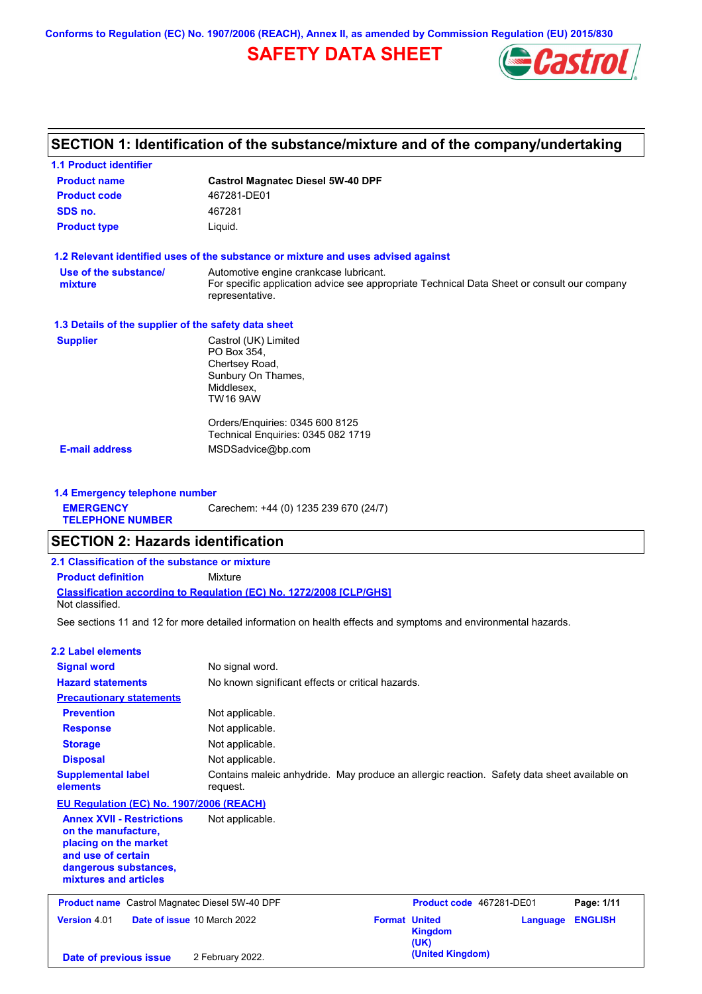**Conforms to Regulation (EC) No. 1907/2006 (REACH), Annex II, as amended by Commission Regulation (EU) 2015/830**

# **SAFETY DATA SHEET**



# **SECTION 1: Identification of the substance/mixture and of the company/undertaking**

| <b>1.1 Product identifier</b>                        |                                                                                                                                                          |
|------------------------------------------------------|----------------------------------------------------------------------------------------------------------------------------------------------------------|
| <b>Product name</b>                                  | <b>Castrol Magnatec Diesel 5W-40 DPF</b>                                                                                                                 |
| <b>Product code</b>                                  | 467281-DE01                                                                                                                                              |
| SDS no.                                              | 467281                                                                                                                                                   |
| <b>Product type</b>                                  | Liquid.                                                                                                                                                  |
|                                                      | 1.2 Relevant identified uses of the substance or mixture and uses advised against                                                                        |
| Use of the substance/<br>mixture                     | Automotive engine crankcase lubricant.<br>For specific application advice see appropriate Technical Data Sheet or consult our company<br>representative. |
| 1.3 Details of the supplier of the safety data sheet |                                                                                                                                                          |
| <b>Supplier</b>                                      | Castrol (UK) Limited<br>PO Box 354,<br>Chertsey Road,<br>Sunbury On Thames,<br>Middlesex,<br><b>TW16 9AW</b>                                             |
|                                                      | Orders/Enquiries: 0345 600 8125<br>Technical Enquiries: 0345 082 1719                                                                                    |
| <b>E-mail address</b>                                | MSDSadvice@bp.com                                                                                                                                        |
| 1.4 Emergency telephone number                       |                                                                                                                                                          |
| <b>EMERGENCY</b><br><b>TELEPHONE NUMBER</b>          | Carechem: +44 (0) 1235 239 670 (24/7)                                                                                                                    |
| <b>SECTION 2: Hazards identification</b>             |                                                                                                                                                          |
| 2.1 Classification of the substance or mixture       |                                                                                                                                                          |
| <b>Product definition</b>                            | Mixture                                                                                                                                                  |
| Not classified.                                      | Classification according to Regulation (EC) No. 1272/2008 [CLP/GHS]                                                                                      |
|                                                      | See sections 11 and 12 for more detailed information on health effects and symptoms and environmental hazards.                                           |
| 2.2 Label elements                                   |                                                                                                                                                          |
| <b>Signal word</b>                                   | No signal word.                                                                                                                                          |
| <b>Hazard statements</b>                             | No known significant effects or critical hazards.                                                                                                        |
| <b>Precautionary statements</b>                      |                                                                                                                                                          |
| <b>Prevention</b>                                    | Not applicable.                                                                                                                                          |
| <b>Response</b>                                      | Not applicable.                                                                                                                                          |
| <b>Storage</b>                                       | Not applicable.                                                                                                                                          |
| <b>Disposal</b>                                      | Not applicable.                                                                                                                                          |

## **EU Regulation (EC) No. 1907/2006 (REACH)**

request.

**Supplemental label** 

**elements**

**Annex XVII - Restrictions on the manufacture, placing on the market and use of certain dangerous substances, mixtures and articles** Not applicable. **Product name** Castrol Magnatec Diesel 5W-40 DPF **Product Code 467281-DE01 Page: 1/11** 

| <b>THOMAS HAMP CASHOLING CHILLED</b> DICOCI ON TO DIT |                                    |                      | 11 <b>0000000000</b> TUILOIDLUI |                         | . |
|-------------------------------------------------------|------------------------------------|----------------------|---------------------------------|-------------------------|---|
| <b>Version 4.01</b>                                   | <b>Date of issue 10 March 2022</b> | <b>Format United</b> |                                 | <b>Language ENGLISH</b> |   |
|                                                       |                                    |                      | <b>Kingdom</b>                  |                         |   |
|                                                       |                                    |                      | (UK)                            |                         |   |
| Date of previous issue                                | 2 February 2022.                   |                      | (United Kingdom)                |                         |   |

Contains maleic anhydride. May produce an allergic reaction. Safety data sheet available on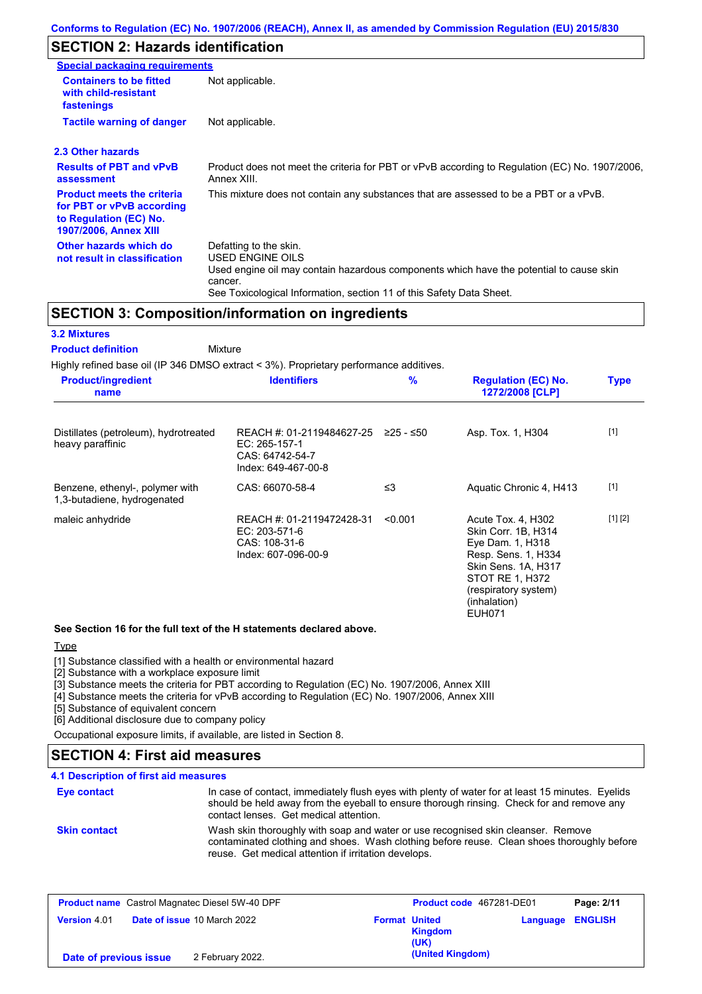# **SECTION 2: Hazards identification**

| <b>Special packaging requirements</b>                                                                                    |                                                                                                                                                                                                                          |
|--------------------------------------------------------------------------------------------------------------------------|--------------------------------------------------------------------------------------------------------------------------------------------------------------------------------------------------------------------------|
| <b>Containers to be fitted</b><br>with child-resistant<br>fastenings                                                     | Not applicable.                                                                                                                                                                                                          |
| <b>Tactile warning of danger</b>                                                                                         | Not applicable.                                                                                                                                                                                                          |
| 2.3 Other hazards                                                                                                        |                                                                                                                                                                                                                          |
| <b>Results of PBT and vPvB</b><br>assessment                                                                             | Product does not meet the criteria for PBT or vPvB according to Regulation (EC) No. 1907/2006,<br>Annex XIII.                                                                                                            |
| <b>Product meets the criteria</b><br>for PBT or vPvB according<br>to Regulation (EC) No.<br><b>1907/2006, Annex XIII</b> | This mixture does not contain any substances that are assessed to be a PBT or a vPvB.                                                                                                                                    |
| Other hazards which do<br>not result in classification                                                                   | Defatting to the skin.<br>USED ENGINE OILS<br>Used engine oil may contain hazardous components which have the potential to cause skin<br>cancer.<br>See Toxicological Information, section 11 of this Safety Data Sheet. |

### **SECTION 3: Composition/information on ingredients**

#### **3.2 Mixtures**

Mixture **Product definition**

Highly refined base oil (IP 346 DMSO extract < 3%). Proprietary performance additives.

| <b>Product/ingredient</b><br>name                              | $\frac{9}{6}$<br><b>Identifiers</b>                                                  |           | <b>Regulation (EC) No.</b><br>1272/2008 [CLP]                                                                                                                                    |         |
|----------------------------------------------------------------|--------------------------------------------------------------------------------------|-----------|----------------------------------------------------------------------------------------------------------------------------------------------------------------------------------|---------|
| Distillates (petroleum), hydrotreated<br>heavy paraffinic      | REACH #: 01-2119484627-25<br>EC: 265-157-1<br>CAS: 64742-54-7<br>Index: 649-467-00-8 | ≥25 - ≤50 | Asp. Tox. 1, H304                                                                                                                                                                | $[1]$   |
| Benzene, ethenyl-, polymer with<br>1,3-butadiene, hydrogenated | CAS: 66070-58-4                                                                      | $\leq$ 3  | Aquatic Chronic 4, H413                                                                                                                                                          | $[1]$   |
| maleic anhydride                                               | REACH #: 01-2119472428-31<br>EC: 203-571-6<br>CAS: 108-31-6<br>Index: 607-096-00-9   | < 0.001   | Acute Tox. 4, H302<br>Skin Corr. 1B, H314<br>Eye Dam. 1, H318<br>Resp. Sens. 1, H334<br>Skin Sens. 1A, H317<br>STOT RE 1, H372<br>(respiratory system)<br>(inhalation)<br>EUH071 | [1] [2] |

### **See Section 16 for the full text of the H statements declared above.**

### Type

[1] Substance classified with a health or environmental hazard

[2] Substance with a workplace exposure limit

[3] Substance meets the criteria for PBT according to Regulation (EC) No. 1907/2006, Annex XIII

[4] Substance meets the criteria for vPvB according to Regulation (EC) No. 1907/2006, Annex XIII

[5] Substance of equivalent concern

[6] Additional disclosure due to company policy

Occupational exposure limits, if available, are listed in Section 8.

# **SECTION 4: First aid measures**

### **4.1 Description of first aid measures**

| Eye contact         | In case of contact, immediately flush eyes with plenty of water for at least 15 minutes. Eyelids<br>should be held away from the eyeball to ensure thorough rinsing. Check for and remove any<br>contact lenses. Get medical attention. |
|---------------------|-----------------------------------------------------------------------------------------------------------------------------------------------------------------------------------------------------------------------------------------|
| <b>Skin contact</b> | Wash skin thoroughly with soap and water or use recognised skin cleanser. Remove<br>contaminated clothing and shoes. Wash clothing before reuse. Clean shoes thoroughly before<br>reuse. Get medical attention if irritation develops.  |

| <b>Product name</b> Castrol Magnatec Diesel 5W-40 DPF |                                    | Product code 467281-DE01 |                        | Page: 2/11              |  |
|-------------------------------------------------------|------------------------------------|--------------------------|------------------------|-------------------------|--|
| <b>Version 4.01</b>                                   | <b>Date of issue 10 March 2022</b> | <b>Format United</b>     | <b>Kingdom</b><br>(UK) | <b>Language ENGLISH</b> |  |
| Date of previous issue                                | 2 February 2022.                   |                          | (United Kingdom)       |                         |  |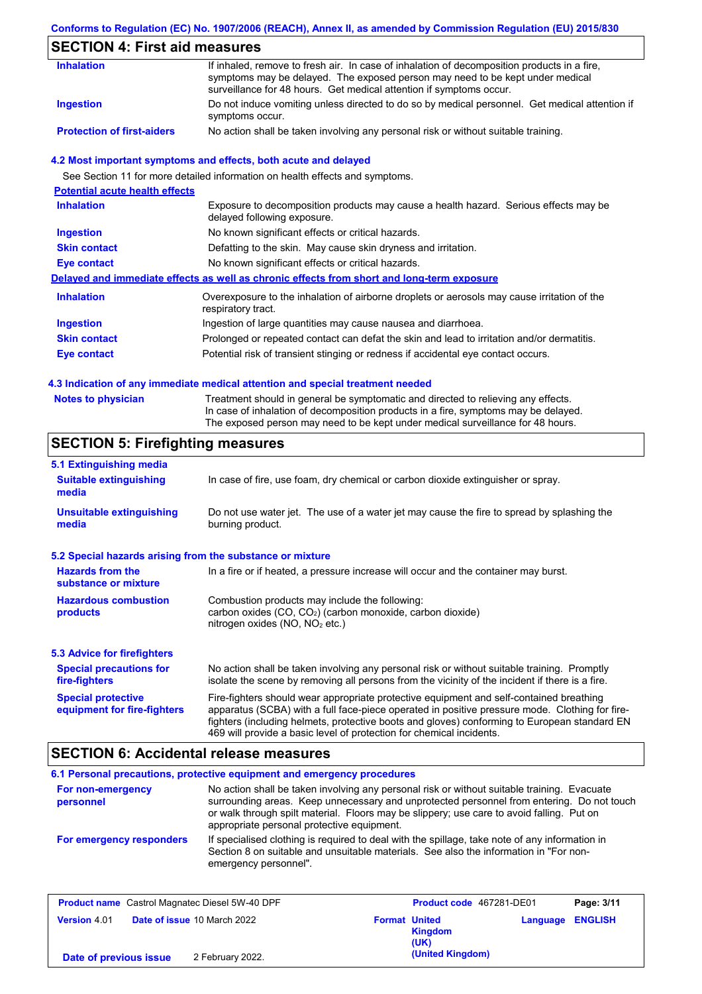### **Conforms to Regulation (EC) No. 1907/2006 (REACH), Annex II, as amended by Commission Regulation (EU) 2015/830**

# **SECTION 4: First aid measures**

| <b>Inhalation</b>                 | If inhaled, remove to fresh air. In case of inhalation of decomposition products in a fire,<br>symptoms may be delayed. The exposed person may need to be kept under medical<br>surveillance for 48 hours. Get medical attention if symptoms occur. |
|-----------------------------------|-----------------------------------------------------------------------------------------------------------------------------------------------------------------------------------------------------------------------------------------------------|
| <b>Ingestion</b>                  | Do not induce vomiting unless directed to do so by medical personnel. Get medical attention if<br>symptoms occur.                                                                                                                                   |
| <b>Protection of first-aiders</b> | No action shall be taken involving any personal risk or without suitable training.                                                                                                                                                                  |

### **4.2 Most important symptoms and effects, both acute and delayed**

See Section 11 for more detailed information on health effects and symptoms.

| <b>Potential acute health effects</b> |                                                                                                                     |
|---------------------------------------|---------------------------------------------------------------------------------------------------------------------|
| <b>Inhalation</b>                     | Exposure to decomposition products may cause a health hazard. Serious effects may be<br>delayed following exposure. |
| <b>Ingestion</b>                      | No known significant effects or critical hazards.                                                                   |
| <b>Skin contact</b>                   | Defatting to the skin. May cause skin dryness and irritation.                                                       |
| Eye contact                           | No known significant effects or critical hazards.                                                                   |
|                                       | Delayed and immediate effects as well as chronic effects from short and long-term exposure                          |
| <b>Inhalation</b>                     | Overexposure to the inhalation of airborne droplets or aerosols may cause irritation of the<br>respiratory tract.   |
| <b>Ingestion</b>                      | Ingestion of large quantities may cause nausea and diarrhoea.                                                       |
| <b>Skin contact</b>                   | Prolonged or repeated contact can defat the skin and lead to irritation and/or dermatitis.                          |
| Eye contact                           | Potential risk of transient stinging or redness if accidental eye contact occurs.                                   |
|                                       |                                                                                                                     |

### **4.3 Indication of any immediate medical attention and special treatment needed**

| <b>Notes to physician</b> | Treatment should in general be symptomatic and directed to relieving any effects.   |
|---------------------------|-------------------------------------------------------------------------------------|
|                           | In case of inhalation of decomposition products in a fire, symptoms may be delayed. |
|                           | The exposed person may need to be kept under medical surveillance for 48 hours.     |

# **SECTION 5: Firefighting measures**

| 5.1 Extinguishing media                                   |                                                                                                                                                                                                                                                                                                                                                                   |
|-----------------------------------------------------------|-------------------------------------------------------------------------------------------------------------------------------------------------------------------------------------------------------------------------------------------------------------------------------------------------------------------------------------------------------------------|
| <b>Suitable extinguishing</b><br>media                    | In case of fire, use foam, dry chemical or carbon dioxide extinguisher or spray.                                                                                                                                                                                                                                                                                  |
| <b>Unsuitable extinguishing</b><br>media                  | Do not use water jet. The use of a water jet may cause the fire to spread by splashing the<br>burning product.                                                                                                                                                                                                                                                    |
| 5.2 Special hazards arising from the substance or mixture |                                                                                                                                                                                                                                                                                                                                                                   |
| <b>Hazards from the</b><br>substance or mixture           | In a fire or if heated, a pressure increase will occur and the container may burst.                                                                                                                                                                                                                                                                               |
| <b>Hazardous combustion</b><br>products                   | Combustion products may include the following:<br>carbon oxides $(CO, CO2)$ (carbon monoxide, carbon dioxide)<br>nitrogen oxides ( $NO$ , $NO2$ etc.)                                                                                                                                                                                                             |
| 5.3 Advice for firefighters                               |                                                                                                                                                                                                                                                                                                                                                                   |
| <b>Special precautions for</b><br>fire-fighters           | No action shall be taken involving any personal risk or without suitable training. Promptly<br>isolate the scene by removing all persons from the vicinity of the incident if there is a fire.                                                                                                                                                                    |
| <b>Special protective</b><br>equipment for fire-fighters  | Fire-fighters should wear appropriate protective equipment and self-contained breathing<br>apparatus (SCBA) with a full face-piece operated in positive pressure mode. Clothing for fire-<br>fighters (including helmets, protective boots and gloves) conforming to European standard EN<br>469 will provide a basic level of protection for chemical incidents. |

## **SECTION 6: Accidental release measures**

|                                | 6.1 Personal precautions, protective equipment and emergency procedures                                                                                                                                                                                                                                                             |
|--------------------------------|-------------------------------------------------------------------------------------------------------------------------------------------------------------------------------------------------------------------------------------------------------------------------------------------------------------------------------------|
| For non-emergency<br>personnel | No action shall be taken involving any personal risk or without suitable training. Evacuate<br>surrounding areas. Keep unnecessary and unprotected personnel from entering. Do not touch<br>or walk through spilt material. Floors may be slippery; use care to avoid falling. Put on<br>appropriate personal protective equipment. |
| For emergency responders       | If specialised clothing is required to deal with the spillage, take note of any information in<br>Section 8 on suitable and unsuitable materials. See also the information in "For non-<br>emergency personnel".                                                                                                                    |

| <b>Product name</b> Castrol Magnatec Diesel 5W-40 DPF |                                    | Product code 467281-DE01 |                        | Page: 3/11              |  |
|-------------------------------------------------------|------------------------------------|--------------------------|------------------------|-------------------------|--|
| <b>Version 4.01</b>                                   | <b>Date of issue 10 March 2022</b> | <b>Format United</b>     | <b>Kingdom</b><br>(UK) | <b>Language ENGLISH</b> |  |
| Date of previous issue                                | 2 February 2022.                   |                          | (United Kingdom)       |                         |  |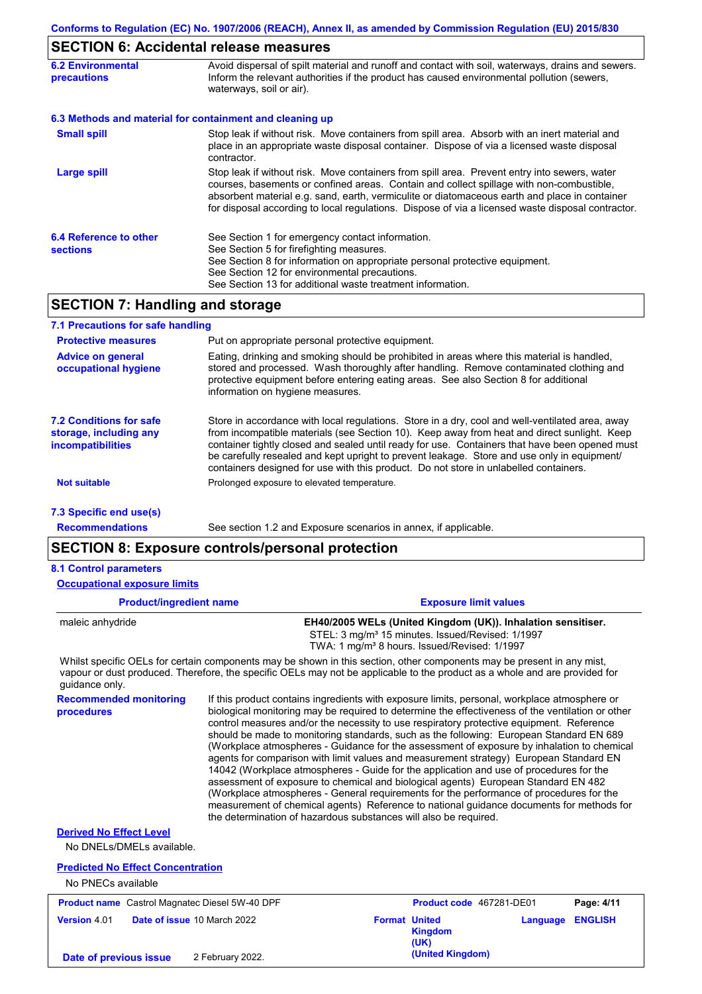## **SECTION 6: Accidental release measures**

| <b>6.2 Environmental</b><br><b>precautions</b>           | Avoid dispersal of spilt material and runoff and contact with soil, waterways, drains and sewers.<br>Inform the relevant authorities if the product has caused environmental pollution (sewers,<br>waterways, soil or air).                                                                                                                                                                    |
|----------------------------------------------------------|------------------------------------------------------------------------------------------------------------------------------------------------------------------------------------------------------------------------------------------------------------------------------------------------------------------------------------------------------------------------------------------------|
| 6.3 Methods and material for containment and cleaning up |                                                                                                                                                                                                                                                                                                                                                                                                |
| <b>Small spill</b>                                       | Stop leak if without risk. Move containers from spill area. Absorb with an inert material and<br>place in an appropriate waste disposal container. Dispose of via a licensed waste disposal<br>contractor.                                                                                                                                                                                     |
| <b>Large spill</b>                                       | Stop leak if without risk. Move containers from spill area. Prevent entry into sewers, water<br>courses, basements or confined areas. Contain and collect spillage with non-combustible,<br>absorbent material e.g. sand, earth, vermiculite or diatomaceous earth and place in container<br>for disposal according to local regulations. Dispose of via a licensed waste disposal contractor. |
| 6.4 Reference to other<br><b>sections</b>                | See Section 1 for emergency contact information.<br>See Section 5 for firefighting measures.<br>See Section 8 for information on appropriate personal protective equipment.<br>See Section 12 for environmental precautions.<br>See Section 13 for additional waste treatment information.                                                                                                     |

## **SECTION 7: Handling and storage**

| 7.1 Precautions for safe handling                                                    |                                                                                                                                                                                                                                                                                                                                                                                                                                                                                          |
|--------------------------------------------------------------------------------------|------------------------------------------------------------------------------------------------------------------------------------------------------------------------------------------------------------------------------------------------------------------------------------------------------------------------------------------------------------------------------------------------------------------------------------------------------------------------------------------|
| <b>Protective measures</b>                                                           | Put on appropriate personal protective equipment.                                                                                                                                                                                                                                                                                                                                                                                                                                        |
| <b>Advice on general</b><br>occupational hygiene                                     | Eating, drinking and smoking should be prohibited in areas where this material is handled,<br>stored and processed. Wash thoroughly after handling. Remove contaminated clothing and<br>protective equipment before entering eating areas. See also Section 8 for additional<br>information on hygiene measures.                                                                                                                                                                         |
| <b>7.2 Conditions for safe</b><br>storage, including any<br><i>incompatibilities</i> | Store in accordance with local regulations. Store in a dry, cool and well-ventilated area, away<br>from incompatible materials (see Section 10). Keep away from heat and direct sunlight. Keep<br>container tightly closed and sealed until ready for use. Containers that have been opened must<br>be carefully resealed and kept upright to prevent leakage. Store and use only in equipment/<br>containers designed for use with this product. Do not store in unlabelled containers. |
| Not suitable                                                                         | Prolonged exposure to elevated temperature.                                                                                                                                                                                                                                                                                                                                                                                                                                              |
| 7.3 Specific end use(s)                                                              |                                                                                                                                                                                                                                                                                                                                                                                                                                                                                          |
| <b>Recommendations</b>                                                               | See section 1.2 and Exposure scenarios in annex, if applicable.                                                                                                                                                                                                                                                                                                                                                                                                                          |

## **SECTION 8: Exposure controls/personal protection**

#### **8.1 Control parameters**

**Occupational exposure limits**

| <b>Product/ingredient name</b> | <b>Exposure limit values</b>                                                                                          |  |  |
|--------------------------------|-----------------------------------------------------------------------------------------------------------------------|--|--|
| maleic anhydride               | EH40/2005 WELs (United Kingdom (UK)). Inhalation sensitiser.                                                          |  |  |
|                                | STEL: 3 mg/m <sup>3</sup> 15 minutes. Issued/Revised: 1/1997                                                          |  |  |
|                                | TWA: 1 mg/m <sup>3</sup> 8 hours. Issued/Revised: 1/1997                                                              |  |  |
|                                | Whilet encoific OFLe for certain companents may be shown in this section, other companents may be present in ony mist |  |  |

Whilst specific OELs for certain components may be shown in this section, other components may be present in any mist, vapour or dust produced. Therefore, the specific OELs may not be applicable to the product as a whole and are provided for guidance only.

**Recommended monitoring procedures** If this product contains ingredients with exposure limits, personal, workplace atmosphere or biological monitoring may be required to determine the effectiveness of the ventilation or other control measures and/or the necessity to use respiratory protective equipment. Reference should be made to monitoring standards, such as the following: European Standard EN 689 (Workplace atmospheres - Guidance for the assessment of exposure by inhalation to chemical agents for comparison with limit values and measurement strategy) European Standard EN 14042 (Workplace atmospheres - Guide for the application and use of procedures for the assessment of exposure to chemical and biological agents) European Standard EN 482 (Workplace atmospheres - General requirements for the performance of procedures for the measurement of chemical agents) Reference to national guidance documents for methods for the determination of hazardous substances will also be required.

## **Derived No Effect Level**

No DNELs/DMELs available.

### **Predicted No Effect Concentration**

No PNECs available

| <b>Product name</b> Castrol Magnatec Diesel 5W-40 DPF |                                    | Product code 467281-DE01                       |                         | Page: 4/11 |
|-------------------------------------------------------|------------------------------------|------------------------------------------------|-------------------------|------------|
| <b>Version 4.01</b>                                   | <b>Date of issue 10 March 2022</b> | <b>Format United</b><br><b>Kingdom</b><br>(UK) | <b>Language ENGLISH</b> |            |
| Date of previous issue                                | 2 February 2022.                   | (United Kingdom)                               |                         |            |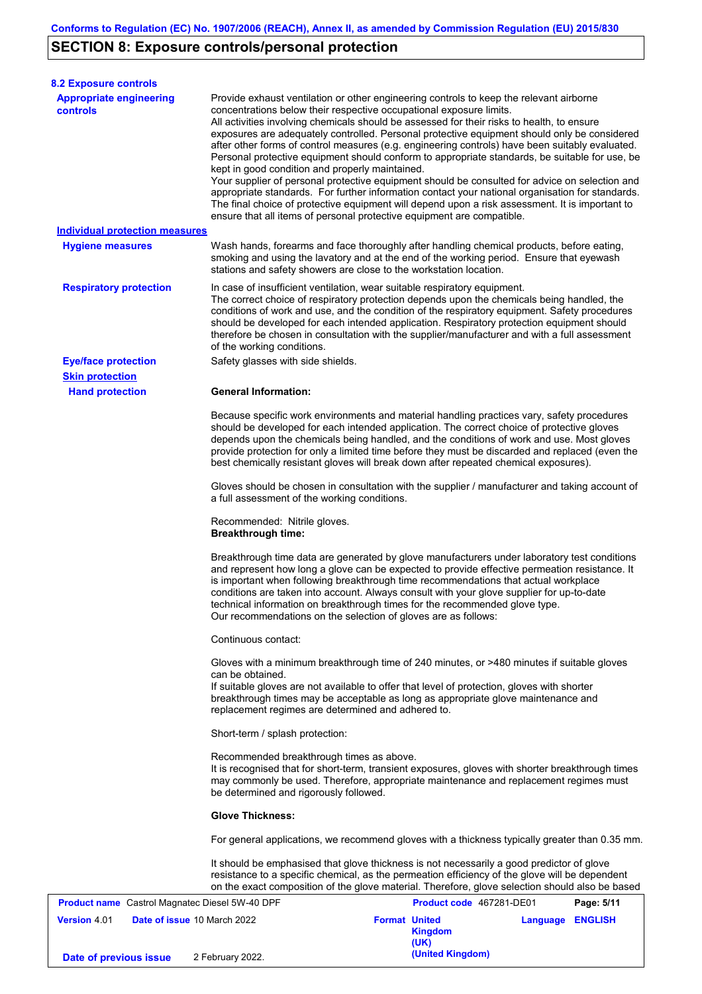# **SECTION 8: Exposure controls/personal protection**

**Date of previous issue** 2 February 2022.

| <b>8.2 Exposure controls</b>                          |                                                                                                                                                                                                                                                                                                                                                                                                                                                                                                                                                                                                                                                                                                                                                                                                                                                                                                                                                                                                         |                      |                          |          |                |  |
|-------------------------------------------------------|---------------------------------------------------------------------------------------------------------------------------------------------------------------------------------------------------------------------------------------------------------------------------------------------------------------------------------------------------------------------------------------------------------------------------------------------------------------------------------------------------------------------------------------------------------------------------------------------------------------------------------------------------------------------------------------------------------------------------------------------------------------------------------------------------------------------------------------------------------------------------------------------------------------------------------------------------------------------------------------------------------|----------------------|--------------------------|----------|----------------|--|
| <b>Appropriate engineering</b><br>controls            | Provide exhaust ventilation or other engineering controls to keep the relevant airborne<br>concentrations below their respective occupational exposure limits.<br>All activities involving chemicals should be assessed for their risks to health, to ensure<br>exposures are adequately controlled. Personal protective equipment should only be considered<br>after other forms of control measures (e.g. engineering controls) have been suitably evaluated.<br>Personal protective equipment should conform to appropriate standards, be suitable for use, be<br>kept in good condition and properly maintained.<br>Your supplier of personal protective equipment should be consulted for advice on selection and<br>appropriate standards. For further information contact your national organisation for standards.<br>The final choice of protective equipment will depend upon a risk assessment. It is important to<br>ensure that all items of personal protective equipment are compatible. |                      |                          |          |                |  |
| <b>Individual protection measures</b>                 |                                                                                                                                                                                                                                                                                                                                                                                                                                                                                                                                                                                                                                                                                                                                                                                                                                                                                                                                                                                                         |                      |                          |          |                |  |
| <b>Hygiene measures</b>                               | Wash hands, forearms and face thoroughly after handling chemical products, before eating,<br>smoking and using the lavatory and at the end of the working period. Ensure that eyewash<br>stations and safety showers are close to the workstation location.                                                                                                                                                                                                                                                                                                                                                                                                                                                                                                                                                                                                                                                                                                                                             |                      |                          |          |                |  |
| <b>Respiratory protection</b>                         | In case of insufficient ventilation, wear suitable respiratory equipment.<br>The correct choice of respiratory protection depends upon the chemicals being handled, the<br>conditions of work and use, and the condition of the respiratory equipment. Safety procedures<br>should be developed for each intended application. Respiratory protection equipment should<br>therefore be chosen in consultation with the supplier/manufacturer and with a full assessment<br>of the working conditions.                                                                                                                                                                                                                                                                                                                                                                                                                                                                                                   |                      |                          |          |                |  |
| <b>Eye/face protection</b>                            | Safety glasses with side shields.                                                                                                                                                                                                                                                                                                                                                                                                                                                                                                                                                                                                                                                                                                                                                                                                                                                                                                                                                                       |                      |                          |          |                |  |
| <b>Skin protection</b>                                |                                                                                                                                                                                                                                                                                                                                                                                                                                                                                                                                                                                                                                                                                                                                                                                                                                                                                                                                                                                                         |                      |                          |          |                |  |
| <b>Hand protection</b>                                | <b>General Information:</b>                                                                                                                                                                                                                                                                                                                                                                                                                                                                                                                                                                                                                                                                                                                                                                                                                                                                                                                                                                             |                      |                          |          |                |  |
|                                                       | Because specific work environments and material handling practices vary, safety procedures<br>should be developed for each intended application. The correct choice of protective gloves<br>depends upon the chemicals being handled, and the conditions of work and use. Most gloves<br>provide protection for only a limited time before they must be discarded and replaced (even the<br>best chemically resistant gloves will break down after repeated chemical exposures).                                                                                                                                                                                                                                                                                                                                                                                                                                                                                                                        |                      |                          |          |                |  |
|                                                       | Gloves should be chosen in consultation with the supplier / manufacturer and taking account of<br>a full assessment of the working conditions.                                                                                                                                                                                                                                                                                                                                                                                                                                                                                                                                                                                                                                                                                                                                                                                                                                                          |                      |                          |          |                |  |
|                                                       | Recommended: Nitrile gloves.<br><b>Breakthrough time:</b>                                                                                                                                                                                                                                                                                                                                                                                                                                                                                                                                                                                                                                                                                                                                                                                                                                                                                                                                               |                      |                          |          |                |  |
|                                                       | Breakthrough time data are generated by glove manufacturers under laboratory test conditions<br>and represent how long a glove can be expected to provide effective permeation resistance. It<br>is important when following breakthrough time recommendations that actual workplace<br>conditions are taken into account. Always consult with your glove supplier for up-to-date<br>technical information on breakthrough times for the recommended glove type.<br>Our recommendations on the selection of gloves are as follows:                                                                                                                                                                                                                                                                                                                                                                                                                                                                      |                      |                          |          |                |  |
|                                                       | Continuous contact:                                                                                                                                                                                                                                                                                                                                                                                                                                                                                                                                                                                                                                                                                                                                                                                                                                                                                                                                                                                     |                      |                          |          |                |  |
|                                                       | Gloves with a minimum breakthrough time of 240 minutes, or >480 minutes if suitable gloves<br>can be obtained.<br>If suitable gloves are not available to offer that level of protection, gloves with shorter<br>breakthrough times may be acceptable as long as appropriate glove maintenance and<br>replacement regimes are determined and adhered to.                                                                                                                                                                                                                                                                                                                                                                                                                                                                                                                                                                                                                                                |                      |                          |          |                |  |
|                                                       | Short-term / splash protection:                                                                                                                                                                                                                                                                                                                                                                                                                                                                                                                                                                                                                                                                                                                                                                                                                                                                                                                                                                         |                      |                          |          |                |  |
|                                                       | Recommended breakthrough times as above.<br>It is recognised that for short-term, transient exposures, gloves with shorter breakthrough times<br>may commonly be used. Therefore, appropriate maintenance and replacement regimes must<br>be determined and rigorously followed.                                                                                                                                                                                                                                                                                                                                                                                                                                                                                                                                                                                                                                                                                                                        |                      |                          |          |                |  |
|                                                       | <b>Glove Thickness:</b>                                                                                                                                                                                                                                                                                                                                                                                                                                                                                                                                                                                                                                                                                                                                                                                                                                                                                                                                                                                 |                      |                          |          |                |  |
|                                                       | For general applications, we recommend gloves with a thickness typically greater than 0.35 mm.                                                                                                                                                                                                                                                                                                                                                                                                                                                                                                                                                                                                                                                                                                                                                                                                                                                                                                          |                      |                          |          |                |  |
|                                                       | It should be emphasised that glove thickness is not necessarily a good predictor of glove<br>resistance to a specific chemical, as the permeation efficiency of the glove will be dependent<br>on the exact composition of the glove material. Therefore, glove selection should also be based                                                                                                                                                                                                                                                                                                                                                                                                                                                                                                                                                                                                                                                                                                          |                      |                          |          |                |  |
| <b>Product name</b> Castrol Magnatec Diesel 5W-40 DPF |                                                                                                                                                                                                                                                                                                                                                                                                                                                                                                                                                                                                                                                                                                                                                                                                                                                                                                                                                                                                         |                      | Product code 467281-DE01 |          | Page: 5/11     |  |
| <b>Version 4.01</b><br>Date of issue 10 March 2022    |                                                                                                                                                                                                                                                                                                                                                                                                                                                                                                                                                                                                                                                                                                                                                                                                                                                                                                                                                                                                         | <b>Format United</b> | <b>Kingdom</b><br>(UK)   | Language | <b>ENGLISH</b> |  |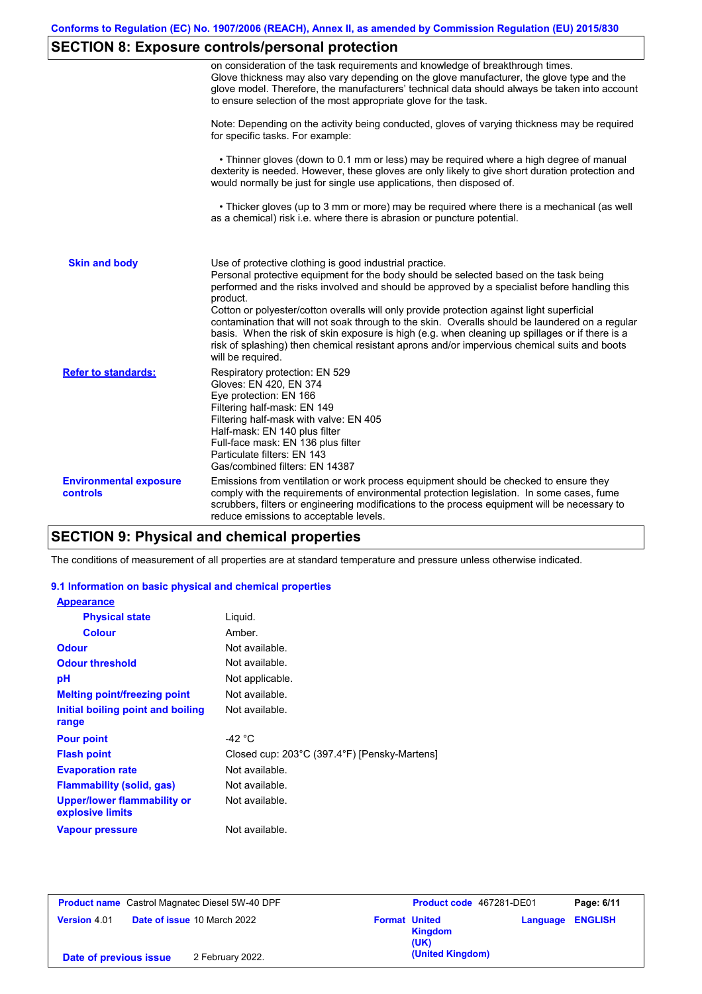# **SECTION 8: Exposure controls/personal protection**

|                                           | on consideration of the task requirements and knowledge of breakthrough times.<br>Glove thickness may also vary depending on the glove manufacturer, the glove type and the<br>glove model. Therefore, the manufacturers' technical data should always be taken into account<br>to ensure selection of the most appropriate glove for the task.                                                                                                                                                                                                                                                                                                                                       |
|-------------------------------------------|---------------------------------------------------------------------------------------------------------------------------------------------------------------------------------------------------------------------------------------------------------------------------------------------------------------------------------------------------------------------------------------------------------------------------------------------------------------------------------------------------------------------------------------------------------------------------------------------------------------------------------------------------------------------------------------|
|                                           | Note: Depending on the activity being conducted, gloves of varying thickness may be required<br>for specific tasks. For example:                                                                                                                                                                                                                                                                                                                                                                                                                                                                                                                                                      |
|                                           | • Thinner gloves (down to 0.1 mm or less) may be required where a high degree of manual<br>dexterity is needed. However, these gloves are only likely to give short duration protection and<br>would normally be just for single use applications, then disposed of.                                                                                                                                                                                                                                                                                                                                                                                                                  |
|                                           | • Thicker gloves (up to 3 mm or more) may be required where there is a mechanical (as well<br>as a chemical) risk i.e. where there is abrasion or puncture potential.                                                                                                                                                                                                                                                                                                                                                                                                                                                                                                                 |
| <b>Skin and body</b>                      | Use of protective clothing is good industrial practice.<br>Personal protective equipment for the body should be selected based on the task being<br>performed and the risks involved and should be approved by a specialist before handling this<br>product.<br>Cotton or polyester/cotton overalls will only provide protection against light superficial<br>contamination that will not soak through to the skin. Overalls should be laundered on a regular<br>basis. When the risk of skin exposure is high (e.g. when cleaning up spillages or if there is a<br>risk of splashing) then chemical resistant aprons and/or impervious chemical suits and boots<br>will be required. |
| <b>Refer to standards:</b>                | Respiratory protection: EN 529<br>Gloves: EN 420, EN 374<br>Eye protection: EN 166<br>Filtering half-mask: EN 149<br>Filtering half-mask with valve: EN 405<br>Half-mask: EN 140 plus filter<br>Full-face mask: EN 136 plus filter<br>Particulate filters: EN 143<br>Gas/combined filters: EN 14387                                                                                                                                                                                                                                                                                                                                                                                   |
| <b>Environmental exposure</b><br>controls | Emissions from ventilation or work process equipment should be checked to ensure they<br>comply with the requirements of environmental protection legislation. In some cases, fume<br>scrubbers, filters or engineering modifications to the process equipment will be necessary to<br>reduce emissions to acceptable levels.                                                                                                                                                                                                                                                                                                                                                         |

## **SECTION 9: Physical and chemical properties**

The conditions of measurement of all properties are at standard temperature and pressure unless otherwise indicated.

### **9.1 Information on basic physical and chemical properties**

| <b>Appearance</b>                                      |                                              |
|--------------------------------------------------------|----------------------------------------------|
| <b>Physical state</b>                                  | Liguid.                                      |
| <b>Colour</b>                                          | Amber.                                       |
| <b>Odour</b>                                           | Not available.                               |
| <b>Odour threshold</b>                                 | Not available.                               |
| рH                                                     | Not applicable.                              |
| <b>Melting point/freezing point</b>                    | Not available.                               |
| Initial boiling point and boiling<br>range             | Not available.                               |
| <b>Pour point</b>                                      | -42 °C                                       |
| <b>Flash point</b>                                     | Closed cup: 203°C (397.4°F) [Pensky-Martens] |
| <b>Evaporation rate</b>                                | Not available.                               |
| Flammability (solid, gas)                              | Not available.                               |
| <b>Upper/lower flammability or</b><br>explosive limits | Not available.                               |
| Vapour pressure                                        | Not available.                               |

| <b>Product name</b> Castrol Magnatec Diesel 5W-40 DPF |                                    | Product code 467281-DE01 |                                         | Page: 6/11              |  |
|-------------------------------------------------------|------------------------------------|--------------------------|-----------------------------------------|-------------------------|--|
| <b>Version 4.01</b>                                   | <b>Date of issue 10 March 2022</b> |                          | <b>Format United</b><br>Kingdom<br>(UK) | <b>Language ENGLISH</b> |  |
| Date of previous issue                                | 2 February 2022.                   |                          | (United Kingdom)                        |                         |  |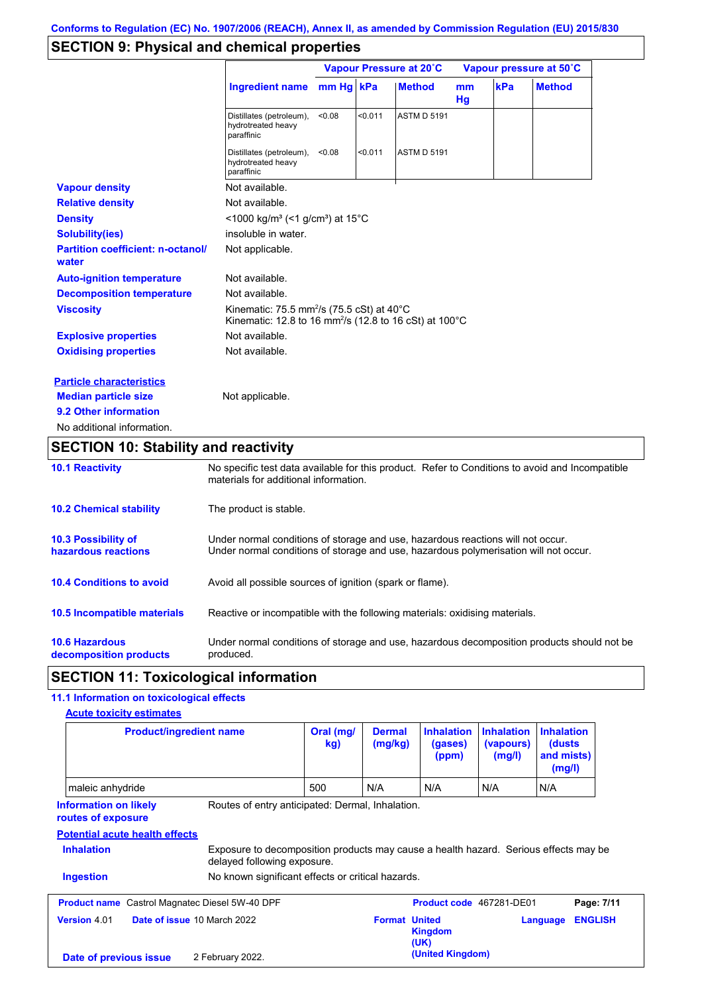# **SECTION 9: Physical and chemical properties**

|                                                   |                                                                                                                                                   |        |         | Vapour Pressure at 20°C |                     |     | Vapour pressure at 50°C |
|---------------------------------------------------|---------------------------------------------------------------------------------------------------------------------------------------------------|--------|---------|-------------------------|---------------------|-----|-------------------------|
|                                                   | Ingredient name mm Hg kPa                                                                                                                         |        |         | <b>Method</b>           | <sub>mm</sub><br>Hg | kPa | <b>Method</b>           |
|                                                   | Distillates (petroleum),<br>hydrotreated heavy<br>paraffinic                                                                                      | < 0.08 | < 0.011 | <b>ASTM D 5191</b>      |                     |     |                         |
|                                                   | Distillates (petroleum),<br>hydrotreated heavy<br>paraffinic                                                                                      | < 0.08 | < 0.011 | <b>ASTM D 5191</b>      |                     |     |                         |
| <b>Vapour density</b>                             | Not available.                                                                                                                                    |        |         |                         |                     |     |                         |
| <b>Relative density</b>                           | Not available.                                                                                                                                    |        |         |                         |                     |     |                         |
| <b>Density</b>                                    | <1000 kg/m <sup>3</sup> (<1 g/cm <sup>3</sup> ) at 15°C                                                                                           |        |         |                         |                     |     |                         |
| <b>Solubility(ies)</b>                            | insoluble in water.                                                                                                                               |        |         |                         |                     |     |                         |
| <b>Partition coefficient: n-octanol/</b><br>water | Not applicable.                                                                                                                                   |        |         |                         |                     |     |                         |
| <b>Auto-ignition temperature</b>                  | Not available.                                                                                                                                    |        |         |                         |                     |     |                         |
| <b>Decomposition temperature</b>                  | Not available.                                                                                                                                    |        |         |                         |                     |     |                         |
| <b>Viscosity</b>                                  | Kinematic: 75.5 mm <sup>2</sup> /s (75.5 cSt) at 40 $^{\circ}$ C<br>Kinematic: 12.8 to 16 mm <sup>2</sup> /s (12.8 to 16 cSt) at 100 $^{\circ}$ C |        |         |                         |                     |     |                         |
| <b>Explosive properties</b>                       | Not available.                                                                                                                                    |        |         |                         |                     |     |                         |
| <b>Oxidising properties</b>                       | Not available.                                                                                                                                    |        |         |                         |                     |     |                         |
| <b>Particle characteristics</b>                   |                                                                                                                                                   |        |         |                         |                     |     |                         |
| <b>Median particle size</b>                       | Not applicable.                                                                                                                                   |        |         |                         |                     |     |                         |
| 9.2 Other information                             |                                                                                                                                                   |        |         |                         |                     |     |                         |
| No additional information.                        |                                                                                                                                                   |        |         |                         |                     |     |                         |

# **SECTION 10: Stability and reactivity**

| <b>10.1 Reactivity</b>                            | No specific test data available for this product. Refer to Conditions to avoid and Incompatible<br>materials for additional information.                                |  |  |  |
|---------------------------------------------------|-------------------------------------------------------------------------------------------------------------------------------------------------------------------------|--|--|--|
| <b>10.2 Chemical stability</b>                    | The product is stable.                                                                                                                                                  |  |  |  |
| <b>10.3 Possibility of</b><br>hazardous reactions | Under normal conditions of storage and use, hazardous reactions will not occur.<br>Under normal conditions of storage and use, hazardous polymerisation will not occur. |  |  |  |
| <b>10.4 Conditions to avoid</b>                   | Avoid all possible sources of ignition (spark or flame).                                                                                                                |  |  |  |
| 10.5 Incompatible materials                       | Reactive or incompatible with the following materials: oxidising materials.                                                                                             |  |  |  |
| <b>10.6 Hazardous</b><br>decomposition products   | Under normal conditions of storage and use, hazardous decomposition products should not be<br>produced.                                                                 |  |  |  |

# **SECTION 11: Toxicological information**

## **11.1 Information on toxicological effects**

| <b>Product/ingredient name</b>                                                                 |                                                                                                                     | Oral (mg/<br>kg) |                      | <b>Inhalation</b><br>(gases)<br>(ppm) | <b>Inhalation</b><br>(vapours)<br>(mg/l) | <b>Inhalation</b><br>(dusts)<br>and mists)<br>(mg/l) |                |
|------------------------------------------------------------------------------------------------|---------------------------------------------------------------------------------------------------------------------|------------------|----------------------|---------------------------------------|------------------------------------------|------------------------------------------------------|----------------|
| maleic anhydride                                                                               |                                                                                                                     | 500              | N/A                  | N/A                                   | N/A                                      | N/A                                                  |                |
| <b>Information on likely</b><br>routes of exposure                                             | Routes of entry anticipated: Dermal, Inhalation.                                                                    |                  |                      |                                       |                                          |                                                      |                |
|                                                                                                |                                                                                                                     |                  |                      |                                       |                                          |                                                      |                |
|                                                                                                |                                                                                                                     |                  |                      |                                       |                                          |                                                      |                |
| <b>Inhalation</b>                                                                              | Exposure to decomposition products may cause a health hazard. Serious effects may be<br>delayed following exposure. |                  |                      |                                       |                                          |                                                      |                |
| <b>Ingestion</b>                                                                               | No known significant effects or critical hazards.                                                                   |                  |                      |                                       |                                          |                                                      |                |
| <b>Potential acute health effects</b><br><b>Product name</b> Castrol Magnatec Diesel 5W-40 DPF |                                                                                                                     |                  |                      | Product code 467281-DE01              |                                          |                                                      | Page: 7/11     |
| <b>Version 4.01</b>                                                                            | Date of issue 10 March 2022                                                                                         |                  | <b>Format United</b> | <b>Kingdom</b><br>(UK)                |                                          | Language                                             | <b>ENGLISH</b> |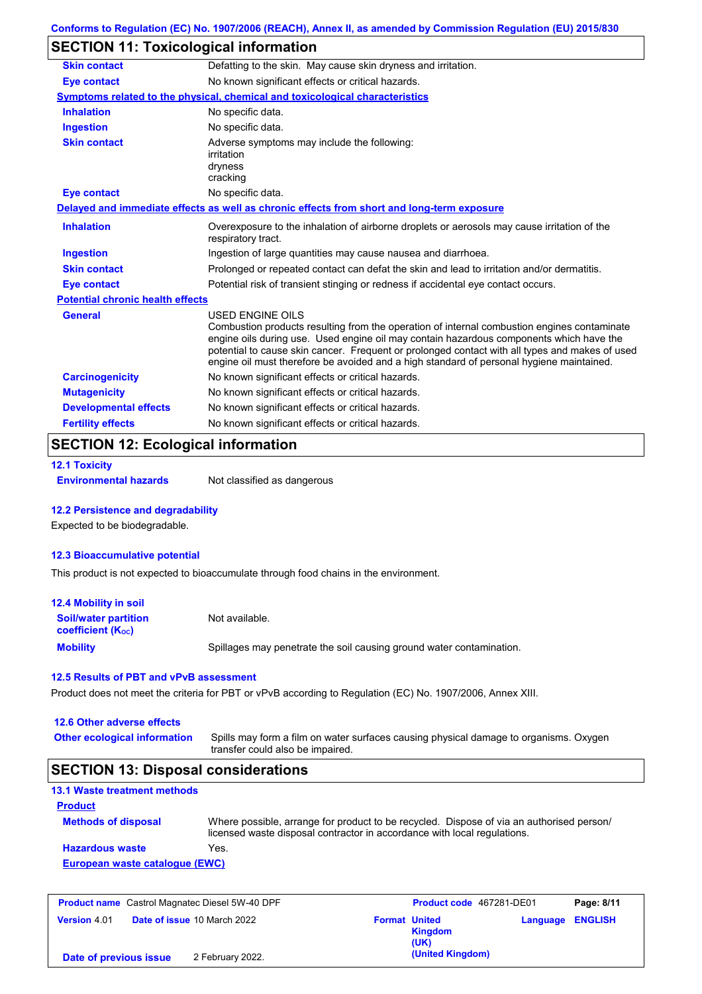# **SECTION 11: Toxicological information**

| <b>Skin contact</b>                     | Defatting to the skin. May cause skin dryness and irritation.                                                                                                                                                                                                                                                                                                                                                   |
|-----------------------------------------|-----------------------------------------------------------------------------------------------------------------------------------------------------------------------------------------------------------------------------------------------------------------------------------------------------------------------------------------------------------------------------------------------------------------|
| <b>Eye contact</b>                      | No known significant effects or critical hazards.                                                                                                                                                                                                                                                                                                                                                               |
|                                         | Symptoms related to the physical, chemical and toxicological characteristics                                                                                                                                                                                                                                                                                                                                    |
| <b>Inhalation</b>                       | No specific data.                                                                                                                                                                                                                                                                                                                                                                                               |
| <b>Ingestion</b>                        | No specific data.                                                                                                                                                                                                                                                                                                                                                                                               |
| <b>Skin contact</b>                     | Adverse symptoms may include the following:<br>irritation<br>dryness<br>cracking                                                                                                                                                                                                                                                                                                                                |
| Eye contact                             | No specific data.                                                                                                                                                                                                                                                                                                                                                                                               |
|                                         | Delayed and immediate effects as well as chronic effects from short and long-term exposure                                                                                                                                                                                                                                                                                                                      |
| <b>Inhalation</b>                       | Overexposure to the inhalation of airborne droplets or aerosols may cause irritation of the<br>respiratory tract.                                                                                                                                                                                                                                                                                               |
| <b>Ingestion</b>                        | Ingestion of large quantities may cause nausea and diarrhoea.                                                                                                                                                                                                                                                                                                                                                   |
| <b>Skin contact</b>                     | Prolonged or repeated contact can defat the skin and lead to irritation and/or dermatitis.                                                                                                                                                                                                                                                                                                                      |
| <b>Eye contact</b>                      | Potential risk of transient stinging or redness if accidental eye contact occurs.                                                                                                                                                                                                                                                                                                                               |
| <b>Potential chronic health effects</b> |                                                                                                                                                                                                                                                                                                                                                                                                                 |
| General                                 | <b>USED ENGINE OILS</b><br>Combustion products resulting from the operation of internal combustion engines contaminate<br>engine oils during use. Used engine oil may contain hazardous components which have the<br>potential to cause skin cancer. Frequent or prolonged contact with all types and makes of used<br>engine oil must therefore be avoided and a high standard of personal hygiene maintained. |
| <b>Carcinogenicity</b>                  | No known significant effects or critical hazards.                                                                                                                                                                                                                                                                                                                                                               |
| <b>Mutagenicity</b>                     | No known significant effects or critical hazards.                                                                                                                                                                                                                                                                                                                                                               |
| <b>Developmental effects</b>            | No known significant effects or critical hazards.                                                                                                                                                                                                                                                                                                                                                               |
| <b>Fertility effects</b>                | No known significant effects or critical hazards.                                                                                                                                                                                                                                                                                                                                                               |

# **SECTION 12: Ecological information**

```
12.1 Toxicity
```
**Environmental hazards** Not classified as dangerous

### **12.2 Persistence and degradability**

Expected to be biodegradable.

### **12.3 Bioaccumulative potential**

This product is not expected to bioaccumulate through food chains in the environment.

| <b>12.4 Mobility in soil</b>                            |                                                                      |
|---------------------------------------------------------|----------------------------------------------------------------------|
| <b>Soil/water partition</b><br><b>coefficient (Koc)</b> | Not available.                                                       |
| <b>Mobility</b>                                         | Spillages may penetrate the soil causing ground water contamination. |

#### **12.5 Results of PBT and vPvB assessment**

Product does not meet the criteria for PBT or vPvB according to Regulation (EC) No. 1907/2006, Annex XIII.

### **12.6 Other adverse effects**

Spills may form a film on water surfaces causing physical damage to organisms. Oxygen transfer could also be impaired. **Other ecological information**

## **SECTION 13: Disposal considerations**

| <b>Methods of disposal</b> | Where possible, arrange for product to be recycled. Dispose of via an authorised person/<br>licensed waste disposal contractor in accordance with local regulations. |
|----------------------------|----------------------------------------------------------------------------------------------------------------------------------------------------------------------|
| <b>Hazardous waste</b>     | Yes.                                                                                                                                                                 |

| <b>Product name</b> Castrol Magnatec Diesel 5W-40 DPF |                                    |                      | Product code 467281-DE01 |                         | Page: 8/11 |
|-------------------------------------------------------|------------------------------------|----------------------|--------------------------|-------------------------|------------|
| <b>Version 4.01</b>                                   | <b>Date of issue 10 March 2022</b> | <b>Format United</b> | Kingdom<br>(UK)          | <b>Language ENGLISH</b> |            |
| Date of previous issue                                | 2 February 2022.                   |                      | (United Kingdom)         |                         |            |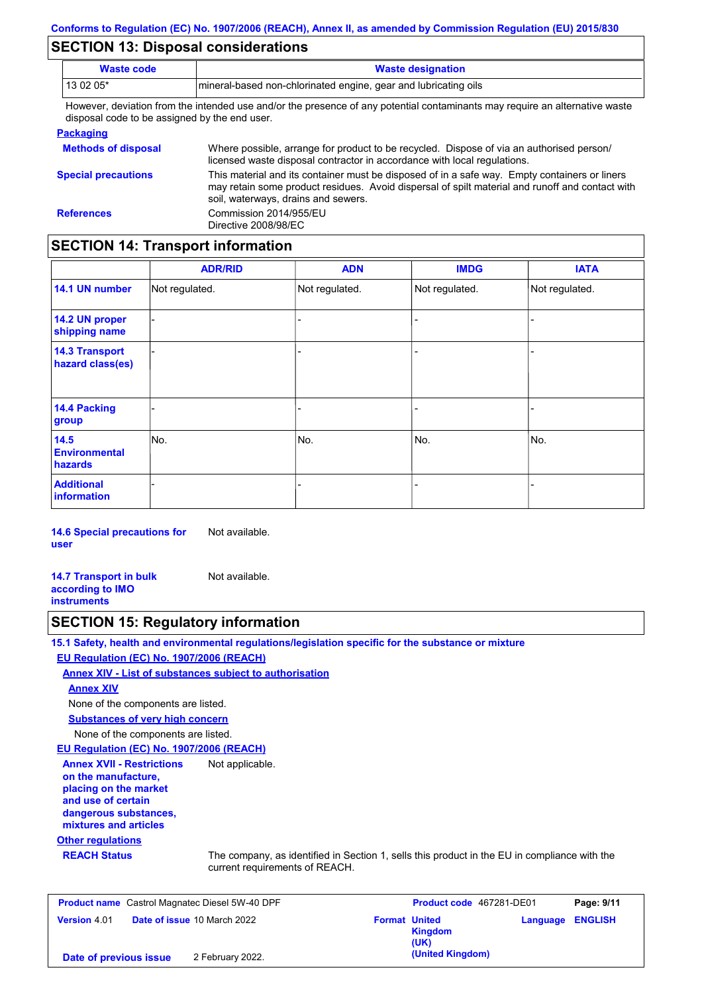## **SECTION 13: Disposal considerations**

| <b>Waste code</b>                             | <b>Waste designation</b>                                                                                                                                                                                                                |  |  |  |  |  |
|-----------------------------------------------|-----------------------------------------------------------------------------------------------------------------------------------------------------------------------------------------------------------------------------------------|--|--|--|--|--|
| 13 02 05*                                     | mineral-based non-chlorinated engine, gear and lubricating oils                                                                                                                                                                         |  |  |  |  |  |
| disposal code to be assigned by the end user. | However, deviation from the intended use and/or the presence of any potential contaminants may require an alternative waste                                                                                                             |  |  |  |  |  |
| <b>Packaging</b>                              |                                                                                                                                                                                                                                         |  |  |  |  |  |
| <b>Methods of disposal</b>                    | Where possible, arrange for product to be recycled. Dispose of via an authorised person/<br>licensed waste disposal contractor in accordance with local regulations.                                                                    |  |  |  |  |  |
| <b>Special precautions</b>                    | This material and its container must be disposed of in a safe way. Empty containers or liners<br>may retain some product residues. Avoid dispersal of spilt material and runoff and contact with<br>soil, waterways, drains and sewers. |  |  |  |  |  |
| <b>References</b>                             | Commission 2014/955/EU                                                                                                                                                                                                                  |  |  |  |  |  |

## **SECTION 14: Transport information**

Directive 2008/98/EC

|                                           | <b>ADR/RID</b> | <b>ADN</b>     | <b>IMDG</b>    | <b>IATA</b>    |  |  |  |
|-------------------------------------------|----------------|----------------|----------------|----------------|--|--|--|
| 14.1 UN number                            | Not regulated. | Not regulated. | Not regulated. | Not regulated. |  |  |  |
| 14.2 UN proper<br>shipping name           |                |                | -              |                |  |  |  |
| <b>14.3 Transport</b><br>hazard class(es) |                |                | -              |                |  |  |  |
| 14.4 Packing<br>group                     |                |                |                |                |  |  |  |
| 14.5<br><b>Environmental</b><br>hazards   | No.            | No.            | No.            | No.            |  |  |  |
| <b>Additional</b><br><b>information</b>   |                |                |                |                |  |  |  |

**14.6 Special precautions for user** Not available.

**14.7 Transport in bulk according to IMO instruments** Not available.

### **SECTION 15: Regulatory information**

**15.1 Safety, health and environmental regulations/legislation specific for the substance or mixture EU Regulation (EC) No. 1907/2006 (REACH)**

**Annex XIV - List of substances subject to authorisation**

#### **Annex XIV**

None of the components are listed.

**Substances of very high concern**

None of the components are listed.

**EU Regulation (EC) No. 1907/2006 (REACH)**

**Annex XVII - Restrictions on the manufacture, placing on the market and use of certain dangerous substances, mixtures and articles** Not applicable.

#### **Other regulations**

**REACH Status** The company, as identified in Section 1, sells this product in the EU in compliance with the current requirements of REACH.

| <b>Product name</b> Castrol Magnatec Diesel 5W-40 DPF |                                    |                      | Product code 467281-DE01 |                         | Page: 9/11 |
|-------------------------------------------------------|------------------------------------|----------------------|--------------------------|-------------------------|------------|
| <b>Version 4.01</b>                                   | <b>Date of issue 10 March 2022</b> | <b>Format United</b> | <b>Kingdom</b><br>(UK)   | <b>Language ENGLISH</b> |            |
| Date of previous issue                                | 2 February 2022.                   |                      | (United Kingdom)         |                         |            |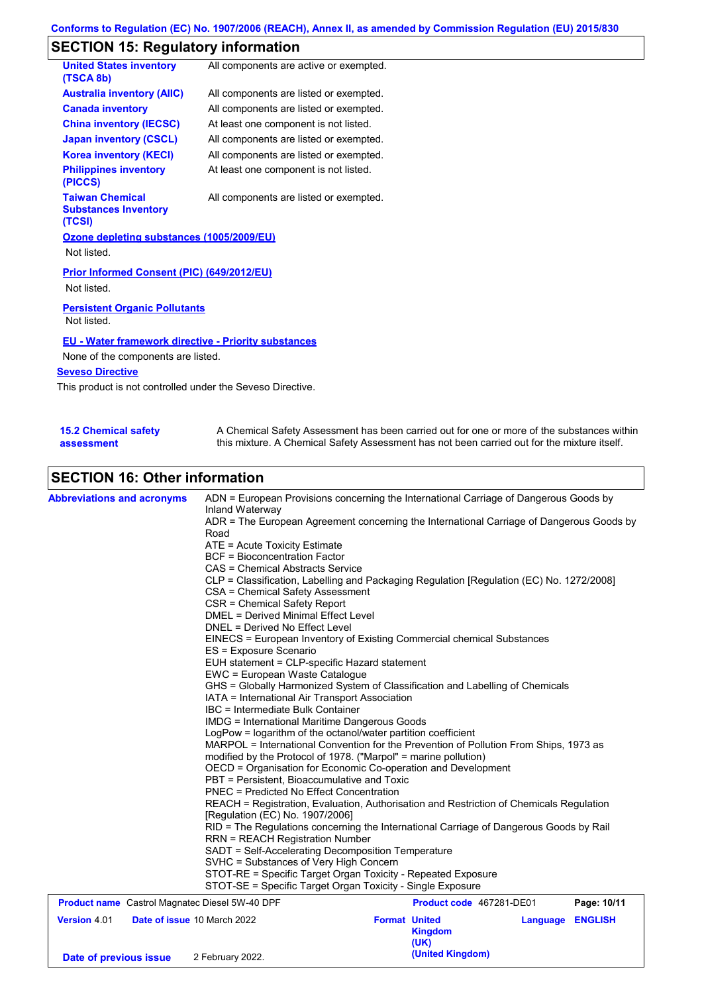# **SECTION 15: Regulatory information**

| <b>United States inventory</b><br>(TSCA 8b)                     | All components are active or exempted. |
|-----------------------------------------------------------------|----------------------------------------|
| <b>Australia inventory (AIIC)</b>                               | All components are listed or exempted. |
| <b>Canada inventory</b>                                         | All components are listed or exempted. |
| <b>China inventory (IECSC)</b>                                  | At least one component is not listed.  |
| <b>Japan inventory (CSCL)</b>                                   | All components are listed or exempted. |
| Korea inventory (KECI)                                          | All components are listed or exempted. |
| <b>Philippines inventory</b><br>(PICCS)                         | At least one component is not listed.  |
| <b>Taiwan Chemical</b><br><b>Substances Inventory</b><br>(TCSI) | All components are listed or exempted. |
| Ozone depleting substances (1005/2009/EU)                       |                                        |
| Not listed.                                                     |                                        |
| Prior Informed Consent (PIC) (649/2012/EU)<br>Not listed.       |                                        |
| <b>Persistent Organic Pollutants</b><br>Not listed.             |                                        |

### **EU - Water framework directive - Priority substances**

None of the components are listed.

### **Seveso Directive**

This product is not controlled under the Seveso Directive.

| <b>15.2 Chemical safety</b> | A Chemical Safety Assessment has been carried out for one or more of the substances within  |
|-----------------------------|---------------------------------------------------------------------------------------------|
| assessment                  | this mixture. A Chemical Safety Assessment has not been carried out for the mixture itself. |

# **SECTION 16: Other information**

| <b>Abbreviations and acronyms</b>                     | ADN = European Provisions concerning the International Carriage of Dangerous Goods by<br>Inland Waterway                                                                                                                                                                                                                                                                                                                                                  |                                                |                  |             |  |  |  |  |
|-------------------------------------------------------|-----------------------------------------------------------------------------------------------------------------------------------------------------------------------------------------------------------------------------------------------------------------------------------------------------------------------------------------------------------------------------------------------------------------------------------------------------------|------------------------------------------------|------------------|-------------|--|--|--|--|
|                                                       | ADR = The European Agreement concerning the International Carriage of Dangerous Goods by<br>Road                                                                                                                                                                                                                                                                                                                                                          |                                                |                  |             |  |  |  |  |
|                                                       | ATE = Acute Toxicity Estimate                                                                                                                                                                                                                                                                                                                                                                                                                             |                                                |                  |             |  |  |  |  |
|                                                       | <b>BCF</b> = Bioconcentration Factor                                                                                                                                                                                                                                                                                                                                                                                                                      |                                                |                  |             |  |  |  |  |
|                                                       | CAS = Chemical Abstracts Service                                                                                                                                                                                                                                                                                                                                                                                                                          |                                                |                  |             |  |  |  |  |
|                                                       | CLP = Classification, Labelling and Packaging Regulation [Regulation (EC) No. 1272/2008]<br>CSA = Chemical Safety Assessment                                                                                                                                                                                                                                                                                                                              |                                                |                  |             |  |  |  |  |
|                                                       |                                                                                                                                                                                                                                                                                                                                                                                                                                                           |                                                |                  |             |  |  |  |  |
|                                                       | CSR = Chemical Safety Report                                                                                                                                                                                                                                                                                                                                                                                                                              |                                                |                  |             |  |  |  |  |
|                                                       | <b>DMEL = Derived Minimal Effect Level</b>                                                                                                                                                                                                                                                                                                                                                                                                                |                                                |                  |             |  |  |  |  |
|                                                       | DNEL = Derived No Effect Level                                                                                                                                                                                                                                                                                                                                                                                                                            |                                                |                  |             |  |  |  |  |
|                                                       | EINECS = European Inventory of Existing Commercial chemical Substances<br>ES = Exposure Scenario                                                                                                                                                                                                                                                                                                                                                          |                                                |                  |             |  |  |  |  |
|                                                       | EUH statement = CLP-specific Hazard statement                                                                                                                                                                                                                                                                                                                                                                                                             |                                                |                  |             |  |  |  |  |
|                                                       | EWC = European Waste Catalogue                                                                                                                                                                                                                                                                                                                                                                                                                            |                                                |                  |             |  |  |  |  |
|                                                       | GHS = Globally Harmonized System of Classification and Labelling of Chemicals<br>IATA = International Air Transport Association<br>IBC = Intermediate Bulk Container<br><b>IMDG</b> = International Maritime Dangerous Goods<br>LogPow = logarithm of the octanol/water partition coefficient<br>MARPOL = International Convention for the Prevention of Pollution From Ships, 1973 as<br>modified by the Protocol of 1978. ("Marpol" = marine pollution) |                                                |                  |             |  |  |  |  |
|                                                       |                                                                                                                                                                                                                                                                                                                                                                                                                                                           |                                                |                  |             |  |  |  |  |
|                                                       |                                                                                                                                                                                                                                                                                                                                                                                                                                                           |                                                |                  |             |  |  |  |  |
|                                                       |                                                                                                                                                                                                                                                                                                                                                                                                                                                           |                                                |                  |             |  |  |  |  |
|                                                       |                                                                                                                                                                                                                                                                                                                                                                                                                                                           |                                                |                  |             |  |  |  |  |
|                                                       |                                                                                                                                                                                                                                                                                                                                                                                                                                                           |                                                |                  |             |  |  |  |  |
|                                                       |                                                                                                                                                                                                                                                                                                                                                                                                                                                           |                                                |                  |             |  |  |  |  |
|                                                       | OECD = Organisation for Economic Co-operation and Development                                                                                                                                                                                                                                                                                                                                                                                             |                                                |                  |             |  |  |  |  |
|                                                       | PBT = Persistent, Bioaccumulative and Toxic<br><b>PNEC</b> = Predicted No Effect Concentration                                                                                                                                                                                                                                                                                                                                                            |                                                |                  |             |  |  |  |  |
|                                                       | REACH = Registration, Evaluation, Authorisation and Restriction of Chemicals Regulation                                                                                                                                                                                                                                                                                                                                                                   |                                                |                  |             |  |  |  |  |
|                                                       | [Regulation (EC) No. 1907/2006]                                                                                                                                                                                                                                                                                                                                                                                                                           |                                                |                  |             |  |  |  |  |
|                                                       | RID = The Regulations concerning the International Carriage of Dangerous Goods by Rail                                                                                                                                                                                                                                                                                                                                                                    |                                                |                  |             |  |  |  |  |
|                                                       | <b>RRN = REACH Registration Number</b>                                                                                                                                                                                                                                                                                                                                                                                                                    |                                                |                  |             |  |  |  |  |
|                                                       | SADT = Self-Accelerating Decomposition Temperature                                                                                                                                                                                                                                                                                                                                                                                                        |                                                |                  |             |  |  |  |  |
|                                                       | SVHC = Substances of Very High Concern                                                                                                                                                                                                                                                                                                                                                                                                                    |                                                |                  |             |  |  |  |  |
|                                                       | STOT-RE = Specific Target Organ Toxicity - Repeated Exposure                                                                                                                                                                                                                                                                                                                                                                                              |                                                |                  |             |  |  |  |  |
|                                                       | STOT-SE = Specific Target Organ Toxicity - Single Exposure                                                                                                                                                                                                                                                                                                                                                                                                |                                                |                  |             |  |  |  |  |
| <b>Product name</b> Castrol Magnatec Diesel 5W-40 DPF |                                                                                                                                                                                                                                                                                                                                                                                                                                                           | Product code 467281-DE01                       |                  | Page: 10/11 |  |  |  |  |
| <b>Version 4.01</b><br>Date of issue 10 March 2022    |                                                                                                                                                                                                                                                                                                                                                                                                                                                           | <b>Format United</b><br><b>Kingdom</b><br>(UK) | Language ENGLISH |             |  |  |  |  |
| Date of previous issue                                | 2 February 2022.                                                                                                                                                                                                                                                                                                                                                                                                                                          | (United Kingdom)                               |                  |             |  |  |  |  |